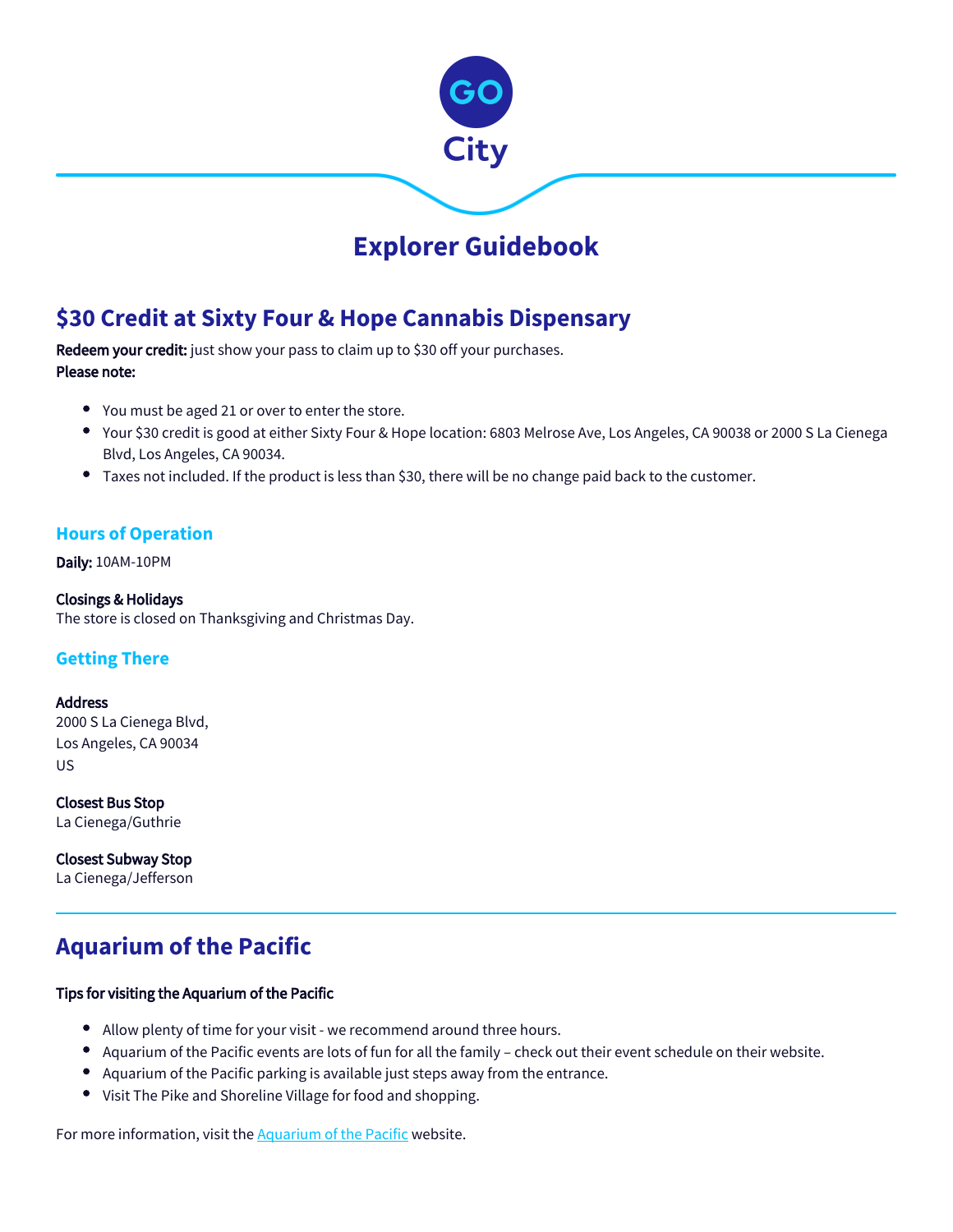

# **Explorer Guidebook**

# **\$30 Credit at Sixty Four & Hope Cannabis Dispensary**

Redeem your credit: just show your pass to claim up to \$30 off your purchases. Please note:

- $\bullet$ You must be aged 21 or over to enter the store.
- Your \$30 credit is good at either Sixty Four & Hope location: 6803 Melrose Ave, Los Angeles, CA 90038 or 2000 S La Cienega Blvd, Los Angeles, CA 90034.
- Taxes not included. If the product is less than \$30, there will be no change paid back to the customer.

## **Hours of Operation**

Daily: 10AM-10PM

## Closings & Holidays

The store is closed on Thanksgiving and Christmas Day.

## **Getting There**

Address 2000 S La Cienega Blvd, Los Angeles, CA 90034 US

Closest Bus Stop La Cienega/Guthrie

Closest Subway Stop La Cienega/Jefferson

# **Aquarium of the Pacific**

#### Tips for visiting the Aquarium of the Pacific

- Allow plenty of time for your visit we recommend around three hours.
- Aquarium of the Pacific events are lots of fun for all the family check out their event schedule on their website.
- Aquarium of the Pacific parking is available just steps away from the entrance.
- Visit The Pike and Shoreline Village for food and shopping.

For more information, visit the **Aquarium of the Pacific website.**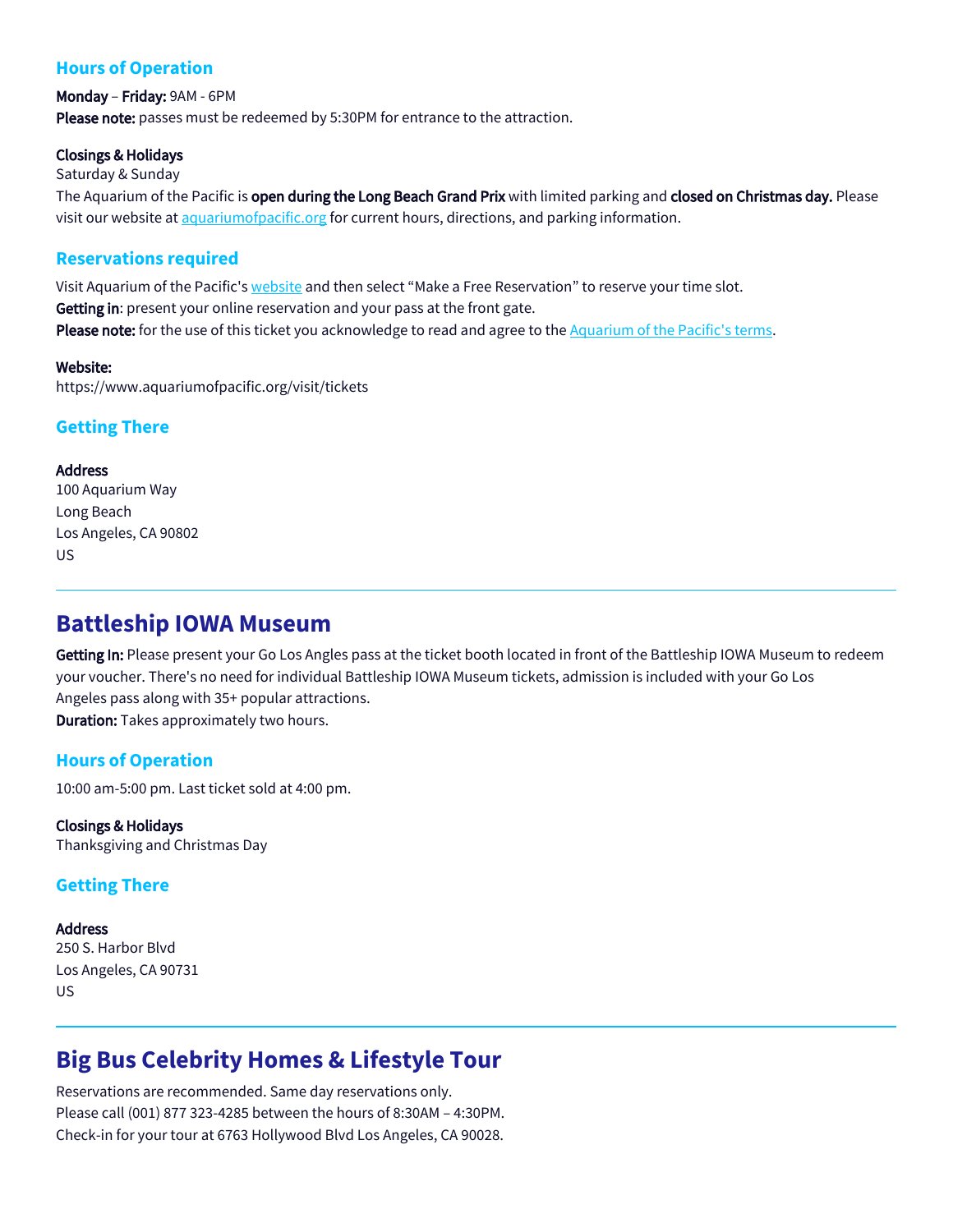## **Hours of Operation**

## Monday – Friday: 9AM - 6PM Please note: passes must be redeemed by 5:30PM for entrance to the attraction.

#### Closings & Holidays

Saturday & Sunday The Aquarium of the Pacific is open during the Long Beach Grand Prix with limited parking and closed on Christmas day. Please visit our website at [aquariumofpacific.org](https://www.aquariumofpacific.org/) for current hours, directions, and parking information.

## **Reservations required**

Visit Aquarium of the Pacific's [website](https://www.aquariumofpacific.org/visit/tickets) and then select "Make a Free Reservation" to reserve your time slot. Getting in: present your online reservation and your pass at the front gate. Please note: for the use of this ticket you acknowledge to read and agree to the [Aquarium of the Pacific's terms](https://www.aquariumofpacific.org/visit/gateway_connect_terms_conditions).

#### Website:

https://www.aquariumofpacific.org/visit/tickets

## **Getting There**

#### **Address**

100 Aquarium Way Long Beach Los Angeles, CA 90802 US

# **Battleship IOWA Museum**

Getting In: Please present your Go Los Angles pass at the ticket booth located in front of the Battleship IOWA Museum to redeem your voucher. There's no need for individual Battleship IOWA Museum tickets, admission is included with your Go Los Angeles pass along with 35+ popular attractions. Duration: Takes approximately two hours.

## **Hours of Operation**

10:00 am-5:00 pm. Last ticket sold at 4:00 pm.

Closings & Holidays Thanksgiving and Christmas Day

## **Getting There**

Address 250 S. Harbor Blvd Los Angeles, CA 90731 US

# **Big Bus Celebrity Homes & Lifestyle Tour**

Reservations are recommended. Same day reservations only. Please call (001) 877 323-4285 between the hours of 8:30AM – 4:30PM. Check-in for your tour at 6763 Hollywood Blvd Los Angeles, CA 90028.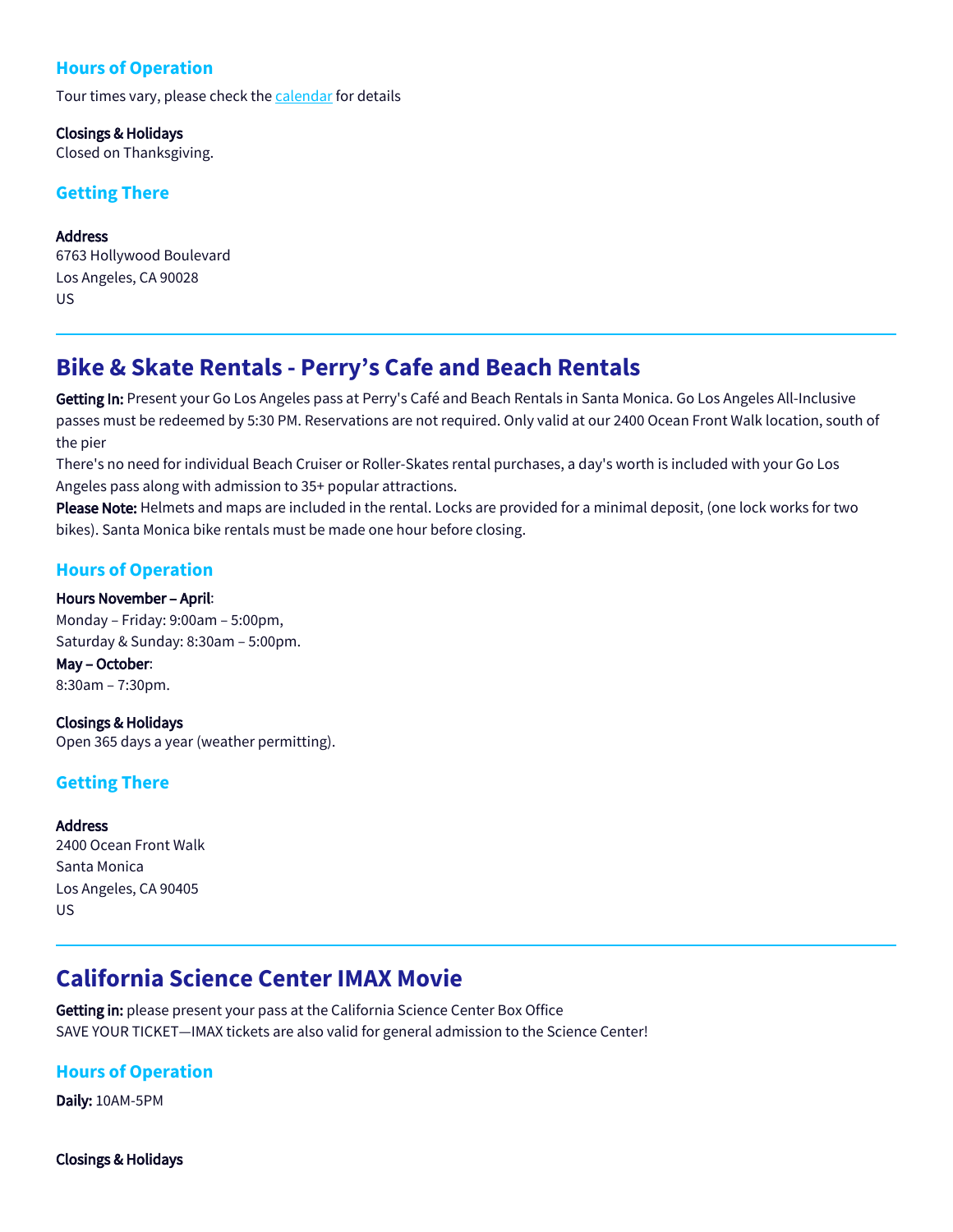## **Hours of Operation**

Tour times vary, please check the [calendar](https://www.bigbustours.com/en/los-angeles/celebrity-homes-tour) for details

Closings & Holidays Closed on Thanksgiving.

## **Getting There**

Address 6763 Hollywood Boulevard Los Angeles, CA 90028 US

# **Bike & Skate Rentals - Perry's Cafe and Beach Rentals**

Getting In: Present your Go Los Angeles pass at Perry's Café and Beach Rentals in Santa Monica. Go Los Angeles All-Inclusive passes must be redeemed by 5:30 PM. Reservations are not required. Only valid at our 2400 Ocean Front Walk location, south of the pier

There's no need for individual Beach Cruiser or Roller-Skates rental purchases, a day's worth is included with your Go Los Angeles pass along with admission to 35+ popular attractions.

Please Note: Helmets and maps are included in the rental. Locks are provided for a minimal deposit, (one lock works for two bikes). Santa Monica bike rentals must be made one hour before closing.

## **Hours of Operation**

Hours November – April: Monday – Friday: 9:00am – 5:00pm, Saturday & Sunday: 8:30am – 5:00pm. May – October: 8:30am – 7:30pm.

Closings & Holidays Open 365 days a year (weather permitting).

## **Getting There**

Address 2400 Ocean Front Walk Santa Monica Los Angeles, CA 90405 US

# **California Science Center IMAX Movie**

Getting in: please present your pass at the California Science Center Box Office SAVE YOUR TICKET—IMAX tickets are also valid for general admission to the Science Center!

## **Hours of Operation**

Daily: 10AM-5PM

Closings & Holidays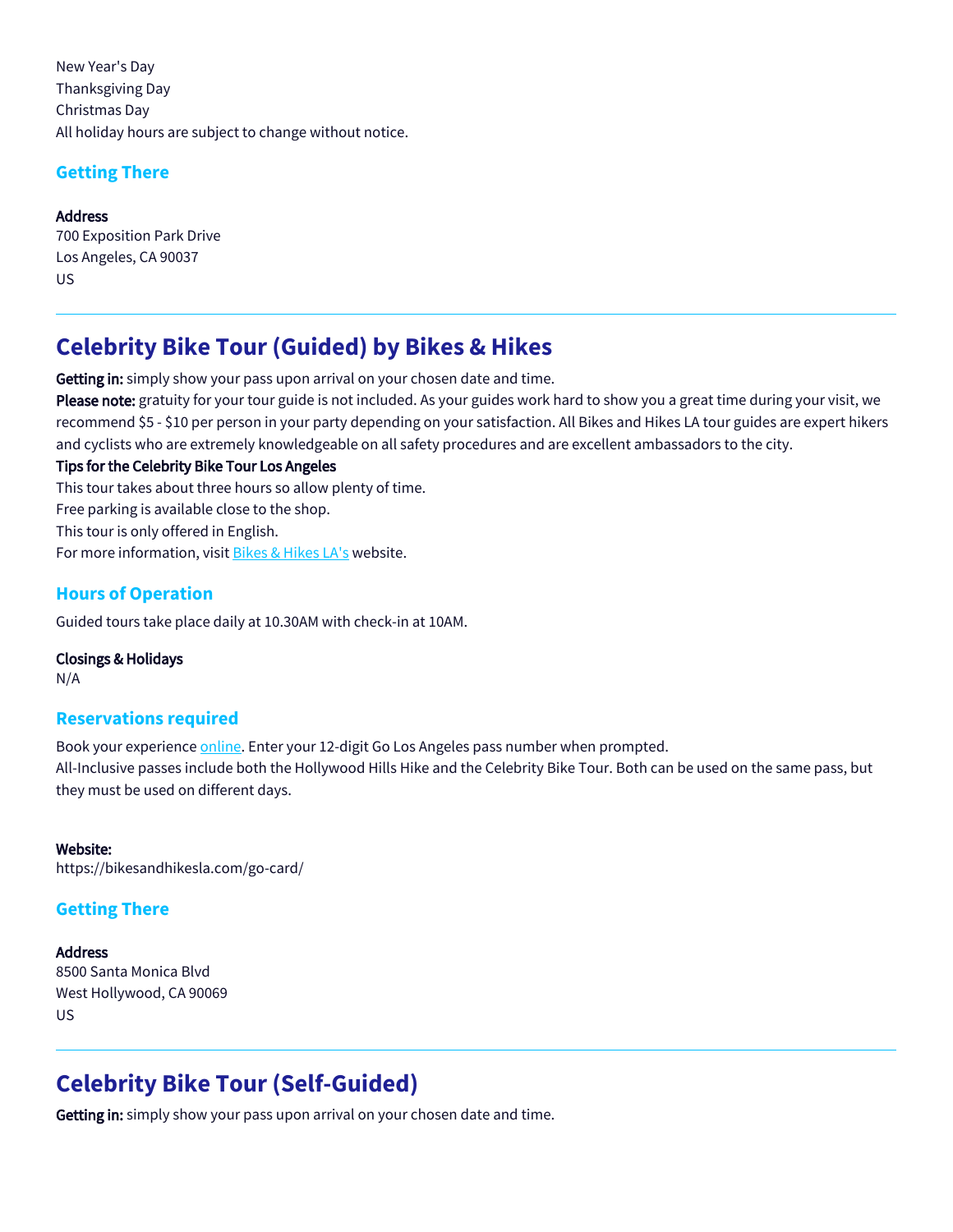New Year's Day Thanksgiving Day Christmas Day All holiday hours are subject to change without notice.

#### **Getting There**

#### Address

700 Exposition Park Drive Los Angeles, CA 90037 US

# **Celebrity Bike Tour (Guided) by Bikes & Hikes**

Getting in: simply show your pass upon arrival on your chosen date and time.

Please note: gratuity for your tour guide is not included. As your guides work hard to show you a great time during your visit, we recommend \$5 - \$10 per person in your party depending on your satisfaction. All Bikes and Hikes LA tour guides are expert hikers and cyclists who are extremely knowledgeable on all safety procedures and are excellent ambassadors to the city.

#### Tips for the Celebrity Bike Tour Los Angeles

This tour takes about three hours so allow plenty of time. Free parking is available close to the shop. This tour is only offered in English. For more information, visit [Bikes & Hikes LA's](https://bikesandhikesla.com/) website.

## **Hours of Operation**

Guided tours take place daily at 10.30AM with check-in at 10AM.

# Closings & Holidays

N/A

## **Reservations required**

Book your experience [online](https://bikesandhikesla.com/go-card/). Enter your 12-digit Go Los Angeles pass number when prompted. All-Inclusive passes include both the Hollywood Hills Hike and the Celebrity Bike Tour. Both can be used on the same pass, but they must be used on different days.

#### Website:

https://bikesandhikesla.com/go-card/

## **Getting There**

#### **Address**

8500 Santa Monica Blvd West Hollywood, CA 90069 US

# **Celebrity Bike Tour (Self-Guided)**

Getting in: simply show your pass upon arrival on your chosen date and time.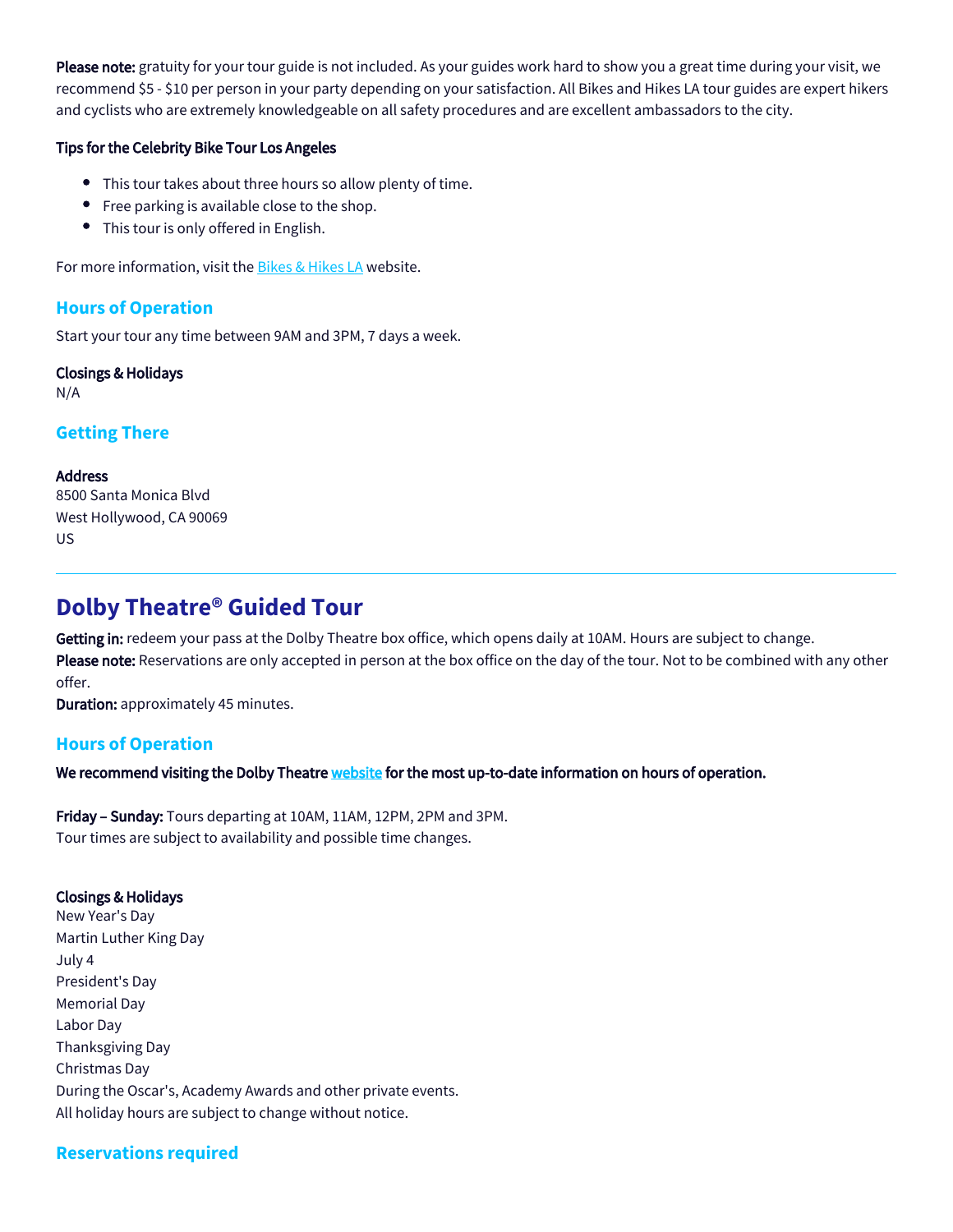Please note: gratuity for your tour guide is not included. As your guides work hard to show you a great time during your visit, we recommend \$5 - \$10 per person in your party depending on your satisfaction. All Bikes and Hikes LA tour guides are expert hikers and cyclists who are extremely knowledgeable on all safety procedures and are excellent ambassadors to the city.

#### Tips for the Celebrity Bike Tour Los Angeles

- This tour takes about three hours so allow plenty of time.
- Free parking is available close to the shop.
- This tour is only offered in English.

For more information, visit the **Bikes & Hikes LA** website.

#### **Hours of Operation**

Start your tour any time between 9AM and 3PM, 7 days a week.

Closings & Holidays N/A

**Getting There**

#### Address

8500 Santa Monica Blvd West Hollywood, CA 90069 US

## **Dolby Theatre® Guided Tour**

Getting in: redeem your pass at the Dolby Theatre box office, which opens daily at 10AM. Hours are subject to change. Please note: Reservations are only accepted in person at the box office on the day of the tour. Not to be combined with any other offer.

Duration: approximately 45 minutes.

## **Hours of Operation**

We recommend visiting the Dolby Theatre [website](http://dolbytheatre.com/) for the most up-to-date information on hours of operation.

Friday – Sunday: Tours departing at 10AM, 11AM, 12PM, 2PM and 3PM. Tour times are subject to availability and possible time changes.

#### Closings & Holidays

New Year's Day Martin Luther King Day July 4 President's Day Memorial Day Labor Day Thanksgiving Day Christmas Day During the Oscar's, Academy Awards and other private events. All holiday hours are subject to change without notice.

## **Reservations required**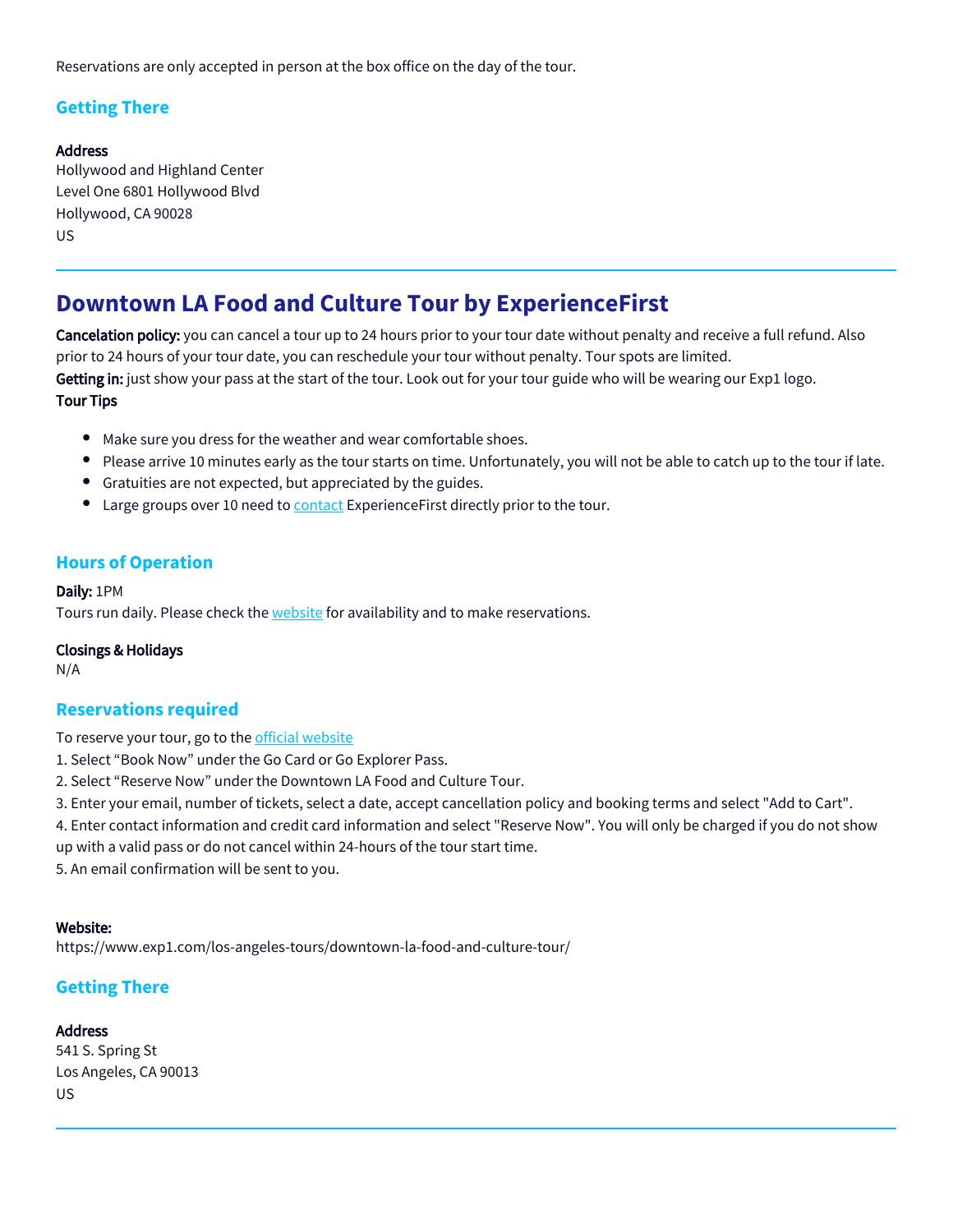Reservations are only accepted in person at the box office on the day of the tour.

## **Getting There**

#### Address

Hollywood and Highland Center Level One 6801 Hollywood Blvd Hollywood, CA 90028 US

## **Downtown LA Food and Culture Tour by ExperienceFirst**

Cancelation policy: you can cancel a tour up to 24 hours prior to your tour date without penalty and receive a full refund. Also prior to 24 hours of your tour date, you can reschedule your tour without penalty. Tour spots are limited. Getting in: just show your pass at the start of the tour. Look out for your tour guide who will be wearing our Exp1 logo. Tour Tips

- Make sure you dress for the weather and wear comfortable shoes.
- Please arrive 10 minutes early as the tour starts on time. Unfortunately, you will not be able to catch up to the tour if late.
- Gratuities are not expected, but appreciated by the guides.
- Large groups over 10 need to [contact](https://www.exp1.com/contact/) ExperienceFirst directly prior to the tour.

#### **Hours of Operation**

#### Daily: 1PM

Tours run daily. Please check the [website](https://www.exp1.com/los-angeles-tours/book-with-pass/) for availability and to make reservations.

#### Closings & Holidays

N/A

#### **Reservations required**

To reserve your tour, go to the [official website](https://www.exp1.com/los-angeles-tours/book-with-pass/)

1. Select "Book Now" under the Go Card or Go Explorer Pass.

2. Select "Reserve Now" under the Downtown LA Food and Culture Tour.

3. Enter your email, number of tickets, select a date, accept cancellation policy and booking terms and select "Add to Cart".

4. Enter contact information and credit card information and select "Reserve Now". You will only be charged if you do not show

up with a valid pass or do not cancel within 24-hours of the tour start time.

5. An email confirmation will be sent to you.

#### Website:

https://www.exp1.com/los-angeles-tours/downtown-la-food-and-culture-tour/

## **Getting There**

#### Address

541 S. Spring St Los Angeles, CA 90013 US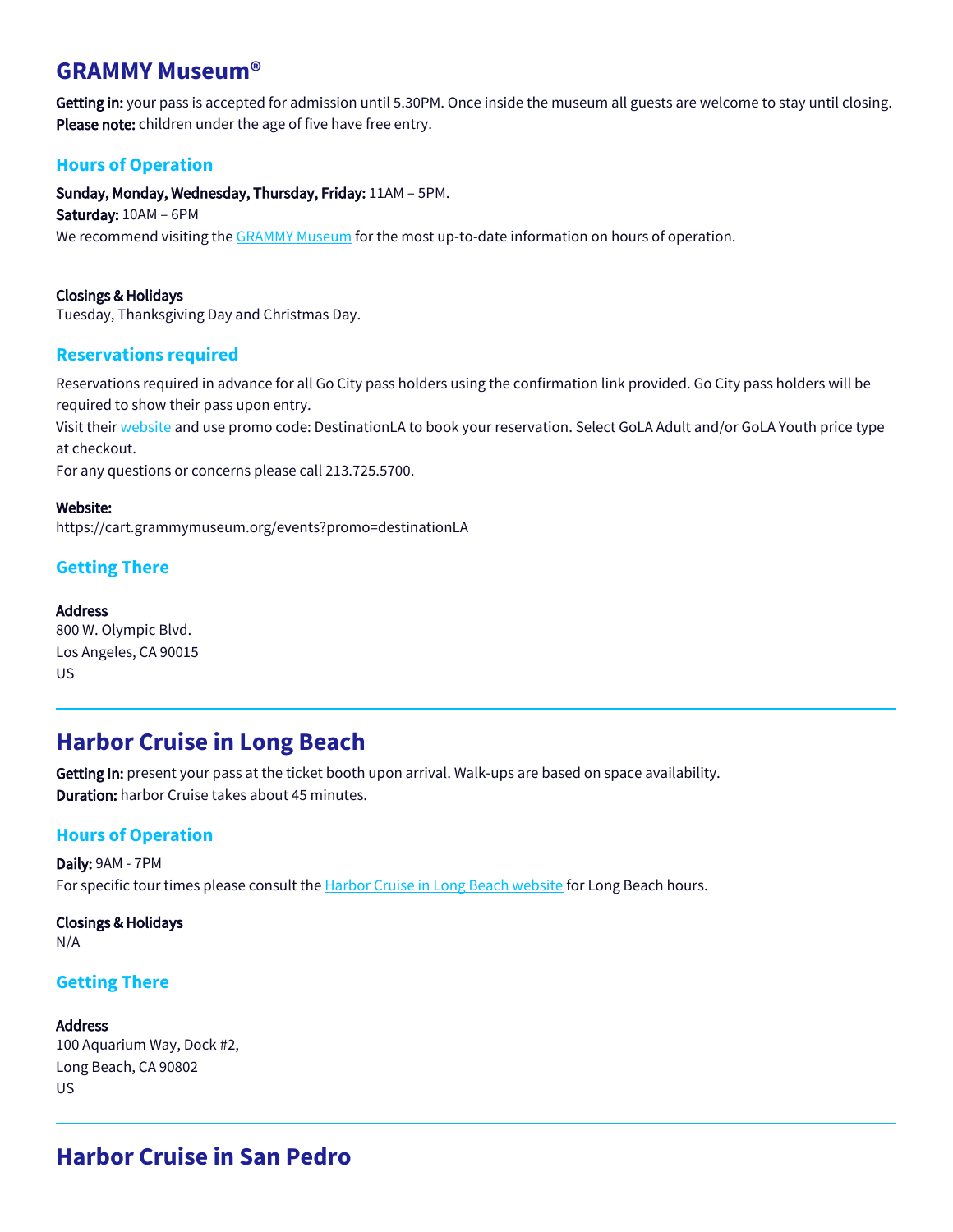## **GRAMMY Museum®**

Getting in: your pass is accepted for admission until 5.30PM. Once inside the museum all guests are welcome to stay until closing. Please note: children under the age of five have free entry.

## **Hours of Operation**

Sunday, Monday, Wednesday, Thursday, Friday: 11AM – 5PM.

Saturday: 10AM – 6PM

We recommend visiting the [GRAMMY Museum](https://www.grammymuseum.org/) for the most up-to-date information on hours of operation.

#### Closings & Holidays

Tuesday, Thanksgiving Day and Christmas Day.

#### **Reservations required**

Reservations required in advance for all Go City pass holders using the confirmation link provided. Go City pass holders will be required to show their pass upon entry.

Visit their [website](https://cart.grammymuseum.org/events?promo=destinationLA) and use promo code: DestinationLA to book your reservation. Select GoLA Adult and/or GoLA Youth price type at checkout.

For any questions or concerns please call 213.725.5700.

#### Website:

https://cart.grammymuseum.org/events?promo=destinationLA

## **Getting There**

#### Address

800 W. Olympic Blvd. Los Angeles, CA 90015 US

## **Harbor Cruise in Long Beach**

Getting In: present your pass at the ticket booth upon arrival. Walk-ups are based on space availability. Duration: harbor Cruise takes about 45 minutes.

## **Hours of Operation**

Daily: 9AM - 7PM For specific tour times please consult the [Harbor Cruise in Long Beach website](https://2seewhales.com/) for Long Beach hours.

Closings & Holidays N/A

## **Getting There**

#### Address

100 Aquarium Way, Dock #2, Long Beach, CA 90802 US

# **Harbor Cruise in San Pedro**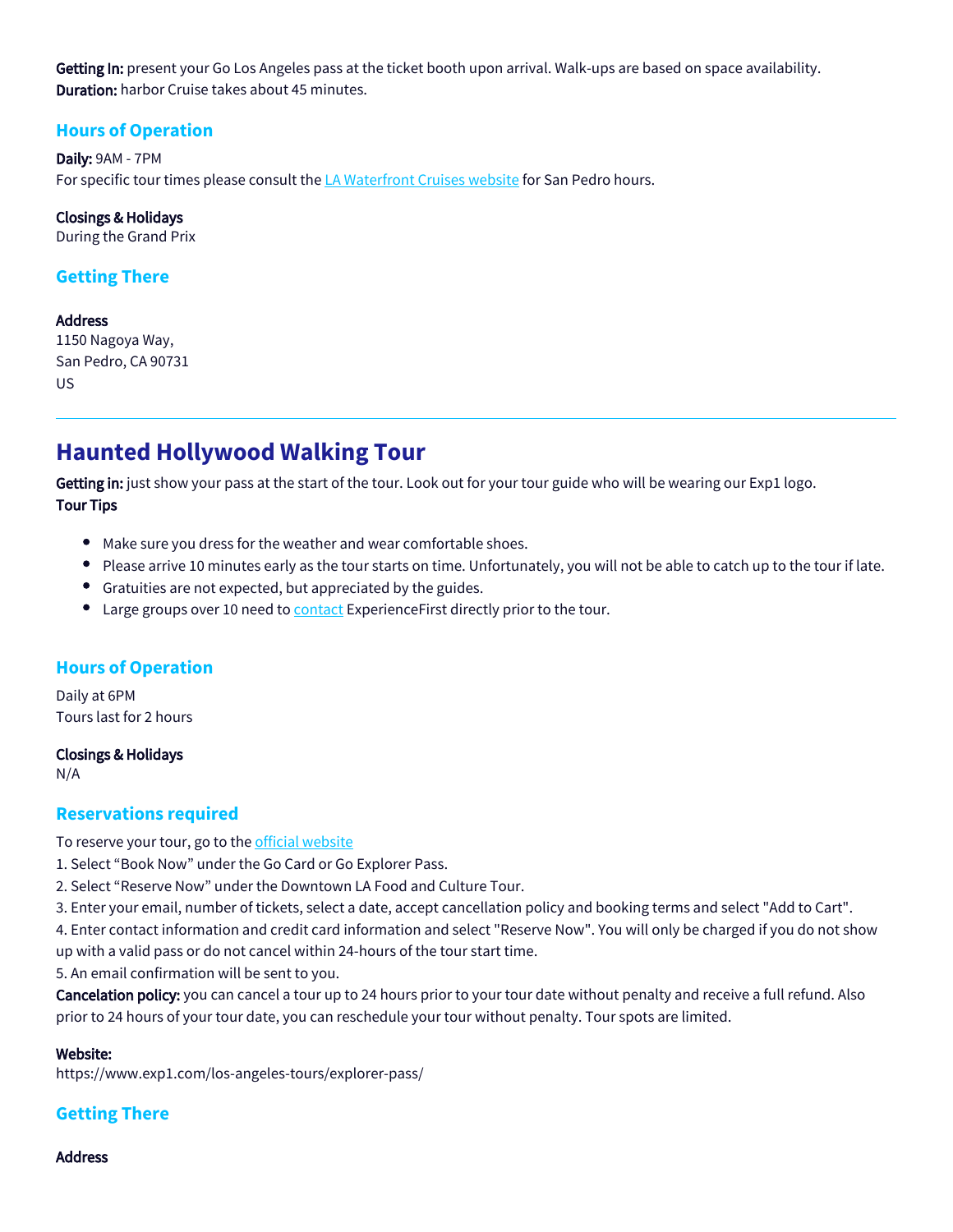Getting In: present your Go Los Angeles pass at the ticket booth upon arrival. Walk-ups are based on space availability. Duration: harbor Cruise takes about 45 minutes.

## **Hours of Operation**

Daily: 9AM - 7PM For specific tour times please consult the [LA Waterfront Cruises website](https://2seewhales.com/) for San Pedro hours.

Closings & Holidays

During the Grand Prix

## **Getting There**

#### Address

1150 Nagoya Way, San Pedro, CA 90731 US

# **Haunted Hollywood Walking Tour**

Getting in: just show your pass at the start of the tour. Look out for your tour guide who will be wearing our Exp1 logo. Tour Tips

- Make sure you dress for the weather and wear comfortable shoes.
- Please arrive 10 minutes early as the tour starts on time. Unfortunately, you will not be able to catch up to the tour if late.
- Gratuities are not expected, but appreciated by the guides.
- Large groups over 10 need to [contact](https://www.exp1.com/contact/) ExperienceFirst directly prior to the tour.

## **Hours of Operation**

Daily at 6PM Tours last for 2 hours

Closings & Holidays

N/A

## **Reservations required**

To reserve your tour, go to the [official website](https://www.exp1.com/los-angeles-tours/explorer-pass/)

1. Select "Book Now" under the Go Card or Go Explorer Pass.

2. Select "Reserve Now" under the Downtown LA Food and Culture Tour.

3. Enter your email, number of tickets, select a date, accept cancellation policy and booking terms and select "Add to Cart".

4. Enter contact information and credit card information and select "Reserve Now". You will only be charged if you do not show up with a valid pass or do not cancel within 24-hours of the tour start time.

5. An email confirmation will be sent to you.

Cancelation policy: you can cancel a tour up to 24 hours prior to your tour date without penalty and receive a full refund. Also prior to 24 hours of your tour date, you can reschedule your tour without penalty. Tour spots are limited.

#### Website:

https://www.exp1.com/los-angeles-tours/explorer-pass/

## **Getting There**

Address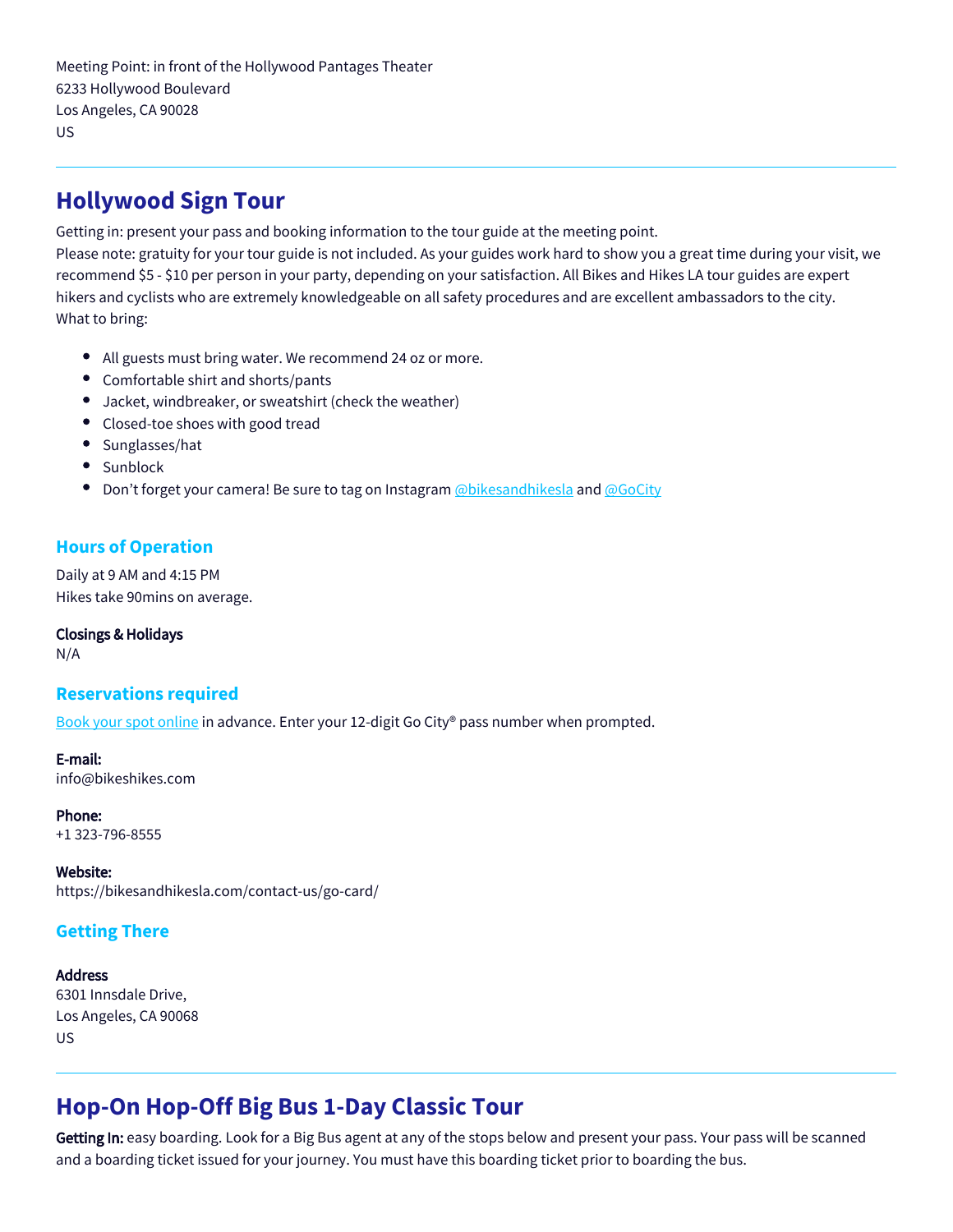Meeting Point: in front of the Hollywood Pantages Theater 6233 Hollywood Boulevard Los Angeles, CA 90028 US

# **Hollywood Sign Tour**

Getting in: present your pass and booking information to the tour guide at the meeting point.

Please note: gratuity for your tour guide is not included. As your guides work hard to show you a great time during your visit, we recommend \$5 - \$10 per person in your party, depending on your satisfaction. All Bikes and Hikes LA tour guides are expert hikers and cyclists who are extremely knowledgeable on all safety procedures and are excellent ambassadors to the city. What to bring:

- All guests must bring water. We recommend 24 oz or more.
- Comfortable shirt and shorts/pants
- Jacket, windbreaker, or sweatshirt (check the weather)
- Closed-toe shoes with good tread
- **•** Sunglasses/hat
- Sunblock
- Don't forget your camera! Be sure to tag on Instagram [@bikesandhikesla](https://www.instagram.com/bikesandhikesla/) and [@GoCity](https://www.instagram.com/gocity/)

## **Hours of Operation**

Daily at 9 AM and 4:15 PM Hikes take 90mins on average.

Closings & Holidays

#### N/A

## **Reservations required**

[Book your spot online](https://bikesandhikesla.com/contact-us/go-card/) in advance. Enter your 12-digit Go City® pass number when prompted.

E-mail: info@bikeshikes.com

Phone: +1 323-796-8555

#### Website:

https://bikesandhikesla.com/contact-us/go-card/

## **Getting There**

## **Address**

6301 Innsdale Drive, Los Angeles, CA 90068 US

# **Hop-On Hop-Off Big Bus 1-Day Classic Tour**

Getting In: easy boarding. Look for a Big Bus agent at any of the stops below and present your pass. Your pass will be scanned and a boarding ticket issued for your journey. You must have this boarding ticket prior to boarding the bus.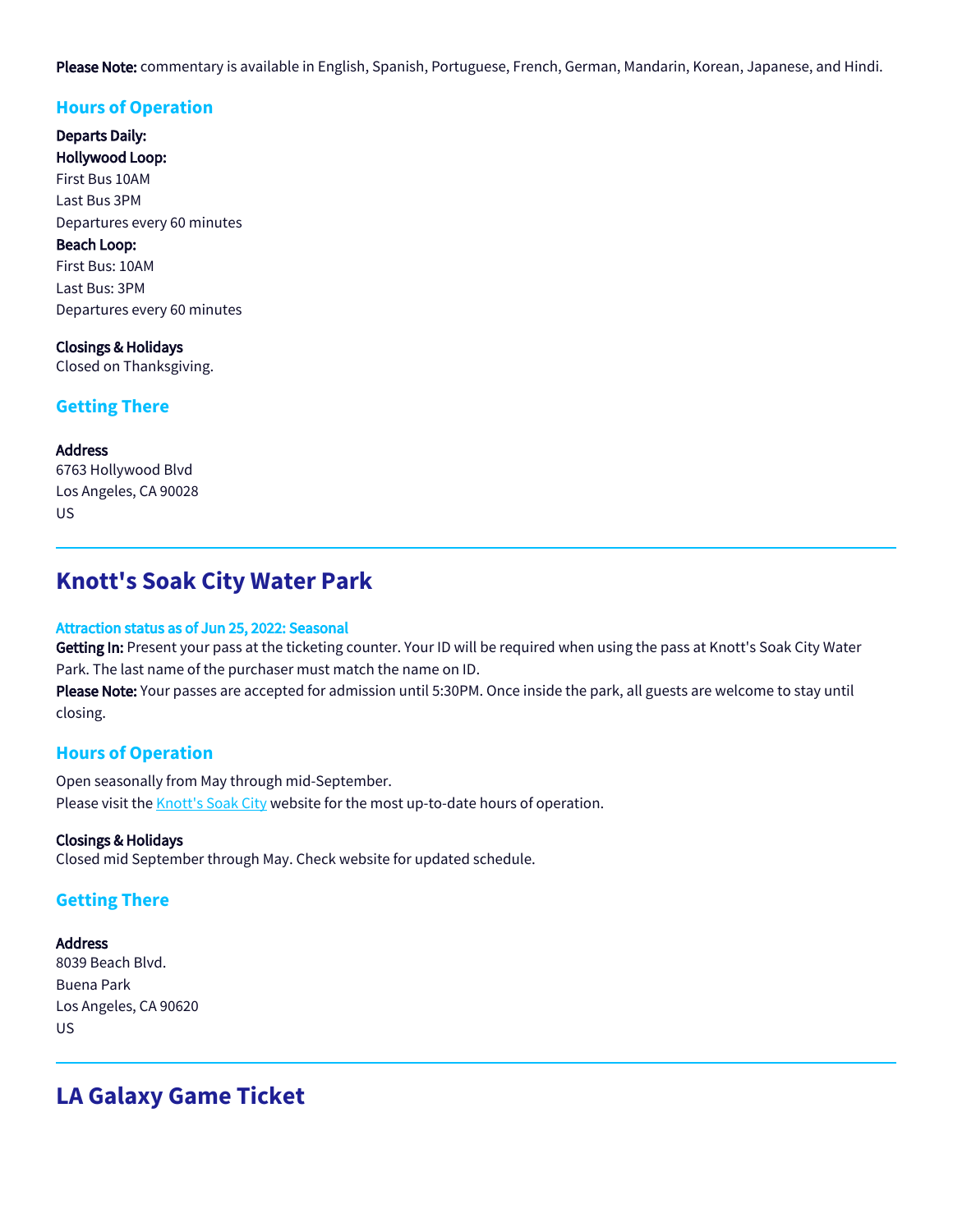Please Note: commentary is available in English, Spanish, Portuguese, French, German, Mandarin, Korean, Japanese, and Hindi.

## **Hours of Operation**

Departs Daily: Hollywood Loop: First Bus 10AM Last Bus 3PM Departures every 60 minutes Beach Loop:

First Bus: 10AM Last Bus: 3PM Departures every 60 minutes

Closings & Holidays Closed on Thanksgiving.

## **Getting There**

Address 6763 Hollywood Blvd Los Angeles, CA 90028 US

# **Knott's Soak City Water Park**

#### Attraction status as of Jun 25, 2022: Seasonal

Getting In: Present your pass at the ticketing counter. Your ID will be required when using the pass at Knott's Soak City Water Park. The last name of the purchaser must match the name on ID.

Please Note: Your passes are accepted for admission until 5:30PM. Once inside the park, all guests are welcome to stay until closing.

## **Hours of Operation**

Open seasonally from May through mid-September. Please visit the **Knott's Soak City** website for the most up-to-date hours of operation.

#### Closings & Holidays

Closed mid September through May. Check website for updated schedule.

#### **Getting There**

**Address** 8039 Beach Blvd. Buena Park Los Angeles, CA 90620 US

# **LA Galaxy Game Ticket**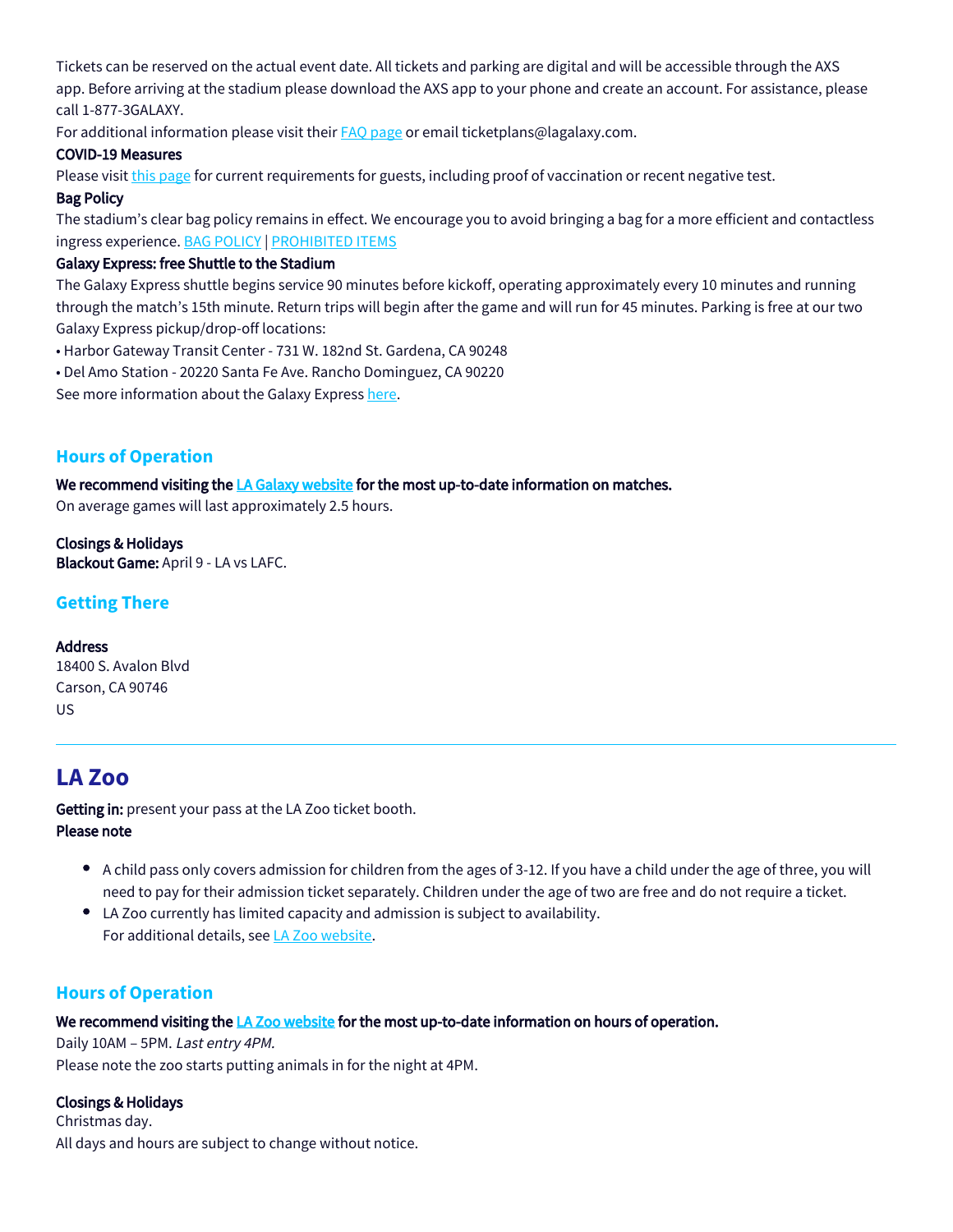Tickets can be reserved on the actual event date. All tickets and parking are digital and will be accessible through the AXS app. Before arriving at the stadium please download the AXS app to your phone and create an account. For assistance, please call 1-877-3GALAXY.

For additional information please visit their  $FAQ$  page or email ticketplans@lagalaxy.com.

#### COVID-19 Measures

Please visit [this page](https://www.lagalaxy.com/lacountyhealthorder?mkt_tok=MzQ2LUlVWi0wNzQAAAGCYUcMf4IgXWsGstdBFMmcvW_nl5v8Ge-rqd4RpehB3dY0LwI4uScZFOGg7nEtr6CA1E8CA2UdkhAzW6zcxpw) for current requirements for guests, including proof of vaccination or recent negative test.

#### Bag Policy

The stadium's clear bag policy remains in effect. We encourage you to avoid bringing a bag for a more efficient and contactless ingress experience. [BAG POLICY](https://nam02.safelinks.protection.outlook.com/?url=http%3A%2F%2Fin.lagalaxy.com%2FMzQ2LUlVWi0wNzQAAAF-HJlLMOy9F_WRXNzT2DyltJORKfV1tsmoWsMjlWT4wKTI2cm-t_DGMoJXMFdTcjvilQrtRd4%3D&data=04%7C01%7Camardelli%40lagalaxy.com%7C8d8d92b8fc534680c2f208d940c1497c%7Ccaece8130c4849238c628676bc93605f%7C0%7C0%7C637612021188020805%7CUnknown%7CTWFpbGZsb3d8eyJWIjoiMC4wLjAwMDAiLCJQIjoiV2luMzIiLCJBTiI6Ik1haWwiLCJXVCI6Mn0%3D%7C1000&sdata=2Q4Cw4K4S%2Fw4e9TXvYuv94loPJmNwdJBXk8u%2BF6DwX4%3D&reserved=0) | [PROHIBITED ITEMS](https://nam02.safelinks.protection.outlook.com/?url=http%3A%2F%2Fin.lagalaxy.com%2FMzQ2LUlVWi0wNzQAAAF-HJlLMMhp__KVWp5SKieWbbx5w0X_bR9DlMYRSov0NgOGePM6kRlFv9X2VwIC2YXnuMnqTpE%3D&data=04%7C01%7Camardelli%40lagalaxy.com%7C8d8d92b8fc534680c2f208d940c1497c%7Ccaece8130c4849238c628676bc93605f%7C0%7C0%7C637612021188020805%7CUnknown%7CTWFpbGZsb3d8eyJWIjoiMC4wLjAwMDAiLCJQIjoiV2luMzIiLCJBTiI6Ik1haWwiLCJXVCI6Mn0%3D%7C1000&sdata=UEMJ09IaR%2BI%2BQiFNX33CFFsTeBxa9qNK%2BDR6Ot46ty4%3D&reserved=0)

#### Galaxy Express: free Shuttle to the Stadium

The Galaxy Express shuttle begins service 90 minutes before kickoff, operating approximately every 10 minutes and running through the match's 15th minute. Return trips will begin after the game and will run for 45 minutes. Parking is free at our two Galaxy Express pickup/drop-off locations:

- Harbor Gateway Transit Center 731 W. 182nd St. Gardena, CA 90248
- Del Amo Station 20220 Santa Fe Ave. Rancho Dominguez, CA 90220

See more information about the Galaxy Express [here.](https://www.lagalaxy.com/stadium/galaxyexpress?mkt_tok=MzQ2LUlVWi0wNzQAAAF-HJlLMJusZ5qnBjDtfIlmHkkP00uowGU4_bkAHf6WcFYzWx6SCaUP3DjzcdoTAF_5dqeNqDotK3nKfW-GhHtBo84GYWOpjFN0oKJT7fNRk8A)

## **Hours of Operation**

#### We recommend visiting the [LA Galaxy website](https://www.lagalaxy.com/schedule?year=2020) for the most up-to-date information on matches.

On average games will last approximately 2.5 hours.

Closings & Holidays Blackout Game: April 9 - LA vs LAFC.

## **Getting There**

#### Address

18400 S. Avalon Blvd Carson, CA 90746 US

# **LA Zoo**

Getting in: present your pass at the LA Zoo ticket booth. Please note

- A child pass only covers admission for children from the ages of 3-12. If you have a child under the age of three, you will need to pay for their admission ticket separately. Children under the age of two are free and do not require a ticket.
- LA Zoo currently has limited capacity and admission is subject to availability. For additional details, see [LA Zoo website.](https://www.lazoo.org/reopening/)

## **Hours of Operation**

#### We recommend visiting the [LA Zoo website](https://www.lazoo.org/visit/) for the most up-to-date information on hours of operation.

Daily 10AM – 5PM. Last entry 4PM. Please note the zoo starts putting animals in for the night at 4PM.

#### Closings & Holidays

Christmas day. All days and hours are subject to change without notice.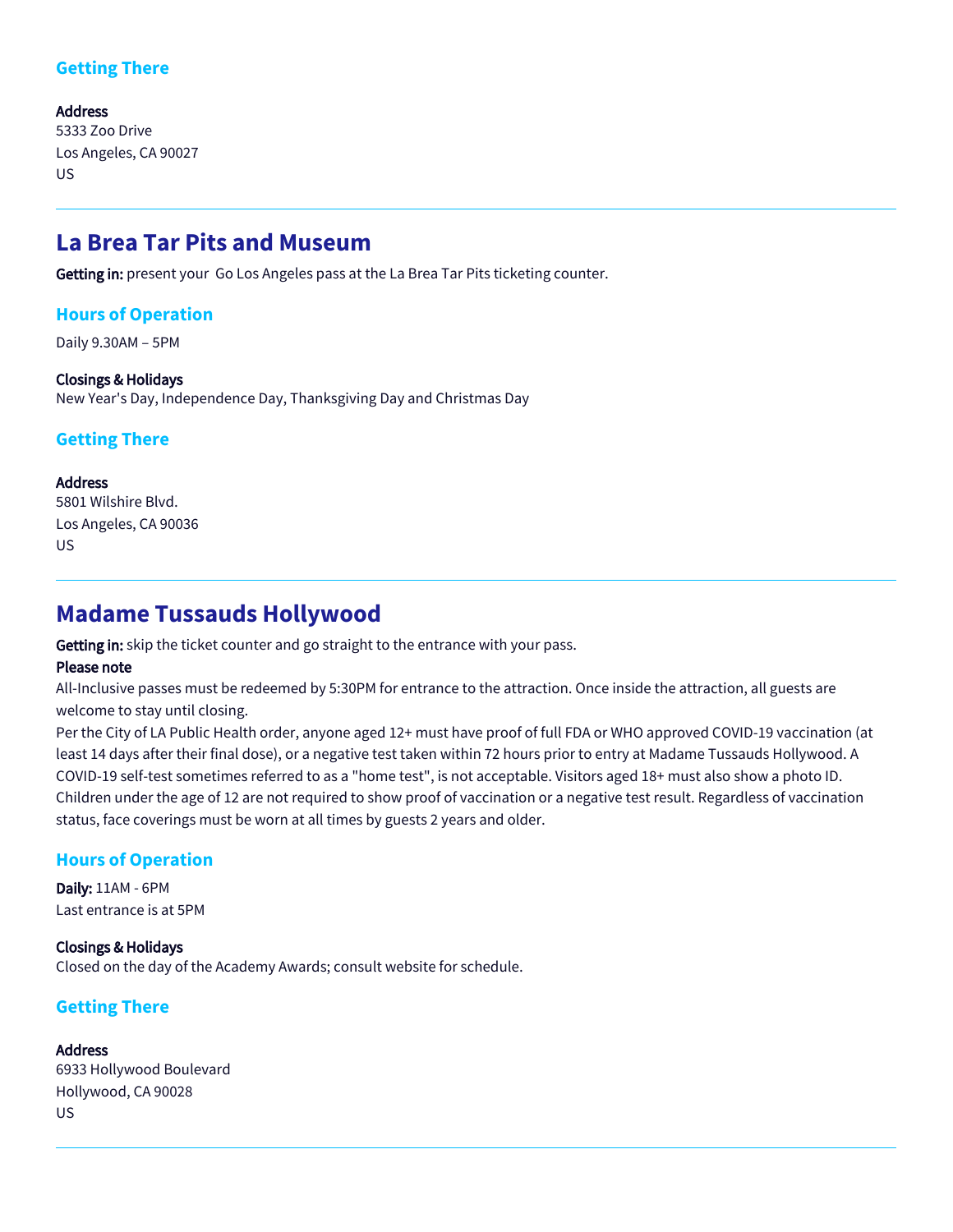## **Getting There**

Address 5333 Zoo Drive Los Angeles, CA 90027 US

## **La Brea Tar Pits and Museum**

Getting in: present your Go Los Angeles pass at the La Brea Tar Pits ticketing counter.

#### **Hours of Operation**

Daily 9.30AM – 5PM

#### Closings & Holidays

New Year's Day, Independence Day, Thanksgiving Day and Christmas Day

#### **Getting There**

Address 5801 Wilshire Blvd. Los Angeles, CA 90036

US

## **Madame Tussauds Hollywood**

Getting in: skip the ticket counter and go straight to the entrance with your pass.

#### Please note

All-Inclusive passes must be redeemed by 5:30PM for entrance to the attraction. Once inside the attraction, all guests are welcome to stay until closing.

Per the City of LA Public Health order, anyone aged 12+ must have proof of full FDA or WHO approved COVID-19 vaccination (at least 14 days after their final dose), or a negative test taken within 72 hours prior to entry at Madame Tussauds Hollywood. A COVID-19 self-test sometimes referred to as a "home test", is not acceptable. Visitors aged 18+ must also show a photo ID. Children under the age of 12 are not required to show proof of vaccination or a negative test result. Regardless of vaccination status, face coverings must be worn at all times by guests 2 years and older.

## **Hours of Operation**

Daily: 11AM - 6PM Last entrance is at 5PM

Closings & Holidays Closed on the day of the Academy Awards; consult website for schedule.

## **Getting There**

**Address** 6933 Hollywood Boulevard Hollywood, CA 90028 US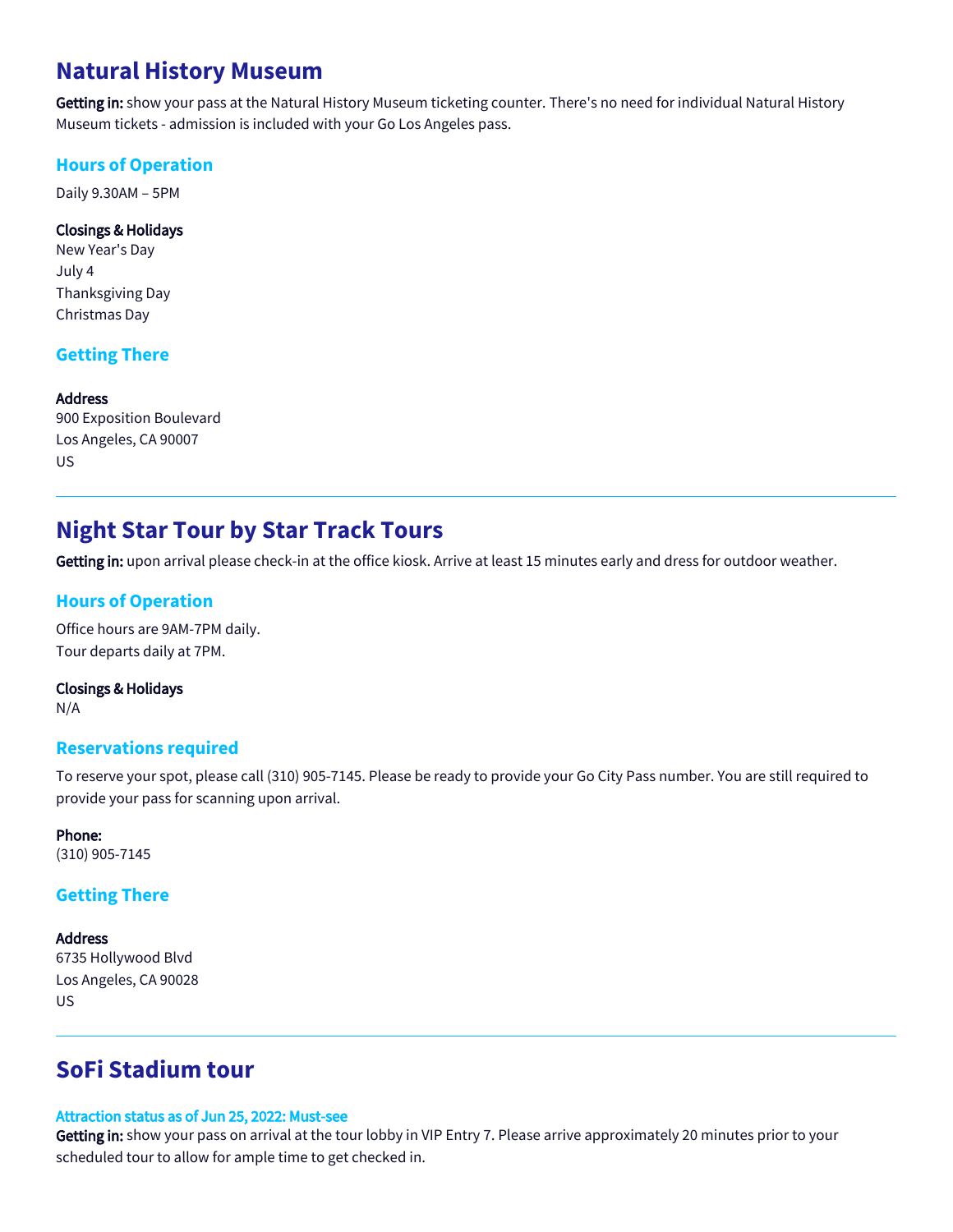# **Natural History Museum**

Getting in: show your pass at the Natural History Museum ticketing counter. There's no need for individual Natural History Museum tickets - admission is included with your Go Los Angeles pass.

## **Hours of Operation**

Daily 9.30AM – 5PM

#### Closings & Holidays

New Year's Day July 4 Thanksgiving Day Christmas Day

## **Getting There**

Address 900 Exposition Boulevard Los Angeles, CA 90007 US

# **Night Star Tour by Star Track Tours**

Getting in: upon arrival please check-in at the office kiosk. Arrive at least 15 minutes early and dress for outdoor weather.

## **Hours of Operation**

Office hours are 9AM-7PM daily. Tour departs daily at 7PM.

Closings & Holidays N/A

## **Reservations required**

To reserve your spot, please call (310) 905-7145. Please be ready to provide your Go City Pass number. You are still required to provide your pass for scanning upon arrival.

Phone: (310) 905-7145

## **Getting There**

Address 6735 Hollywood Blvd Los Angeles, CA 90028 US

# **SoFi Stadium tour**

#### Attraction status as of Jun 25, 2022: Must-see

Getting in: show your pass on arrival at the tour lobby in VIP Entry 7. Please arrive approximately 20 minutes prior to your scheduled tour to allow for ample time to get checked in.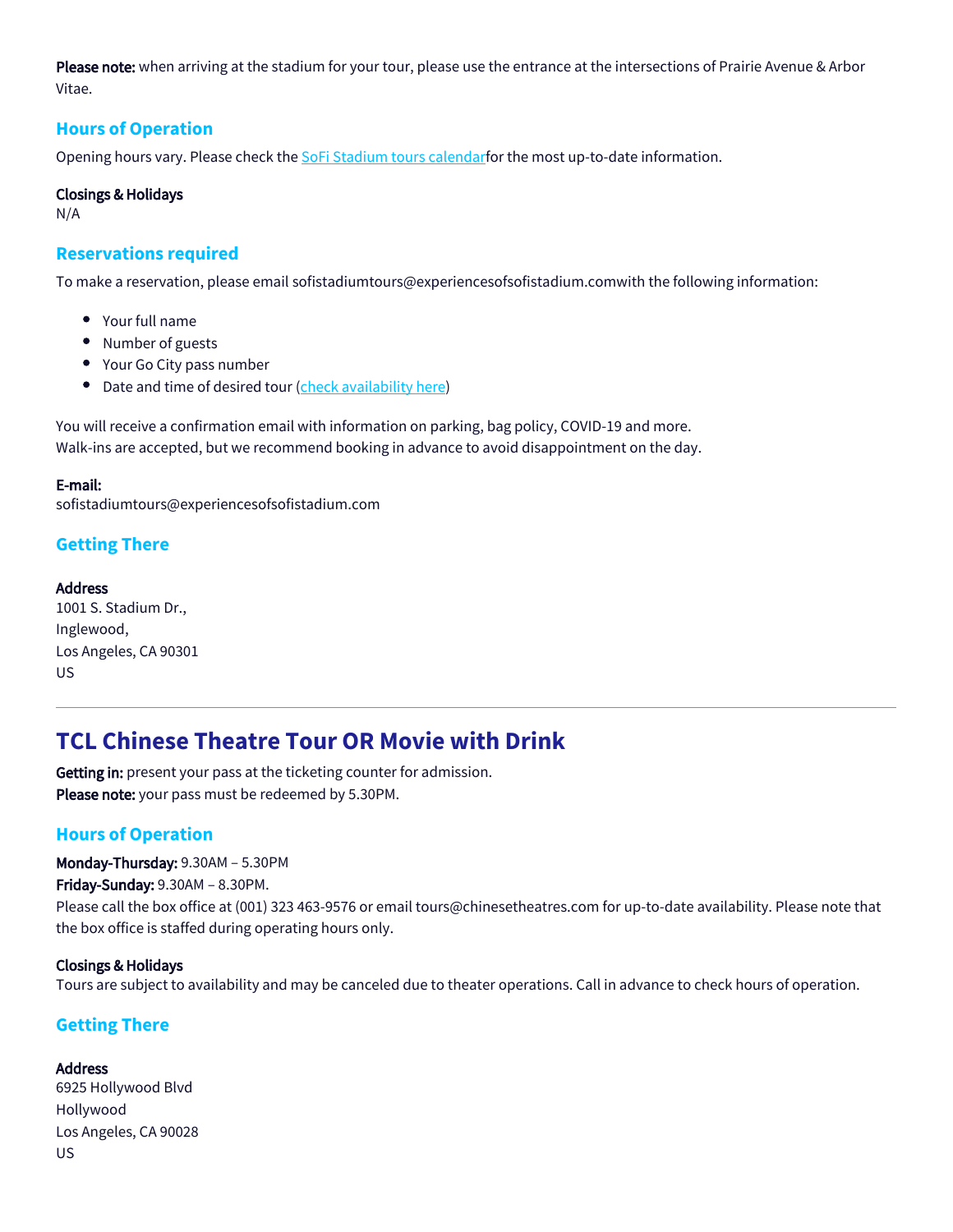Please note: when arriving at the stadium for your tour, please use the entrance at the intersections of Prairie Avenue & Arbor Vitae.

## **Hours of Operation**

Opening hours vary. Please check the [SoFi Stadium tours calendar](https://am.ticketmaster.com/lased/tours)for the most up-to-date information.

#### Closings & Holidays

N/A

## **Reservations required**

To make a reservation, please email sofistadiumtours@experiencesofsofistadium.comwith the following information:

- Your full name
- Number of guests
- Your Go City pass number
- Date and time of desired tour [\(check availability here](https://am.ticketmaster.com/lased/tours))

You will receive a confirmation email with information on parking, bag policy, COVID-19 and more. Walk-ins are accepted, but we recommend booking in advance to avoid disappointment on the day.

#### E-mail:

sofistadiumtours@experiencesofsofistadium.com

## **Getting There**

#### **Address**

1001 S. Stadium Dr., Inglewood, Los Angeles, CA 90301 US

# **TCL Chinese Theatre Tour OR Movie with Drink**

Getting in: present your pass at the ticketing counter for admission. Please note: your pass must be redeemed by 5.30PM.

## **Hours of Operation**

Monday-Thursday: 9.30AM – 5.30PM

Friday-Sunday: 9.30AM – 8.30PM.

Please call the box office at (001) 323 463-9576 or email tours@chinesetheatres.com for up-to-date availability. Please note that the box office is staffed during operating hours only.

#### Closings & Holidays

Tours are subject to availability and may be canceled due to theater operations. Call in advance to check hours of operation.

## **Getting There**

#### Address

6925 Hollywood Blvd Hollywood Los Angeles, CA 90028 US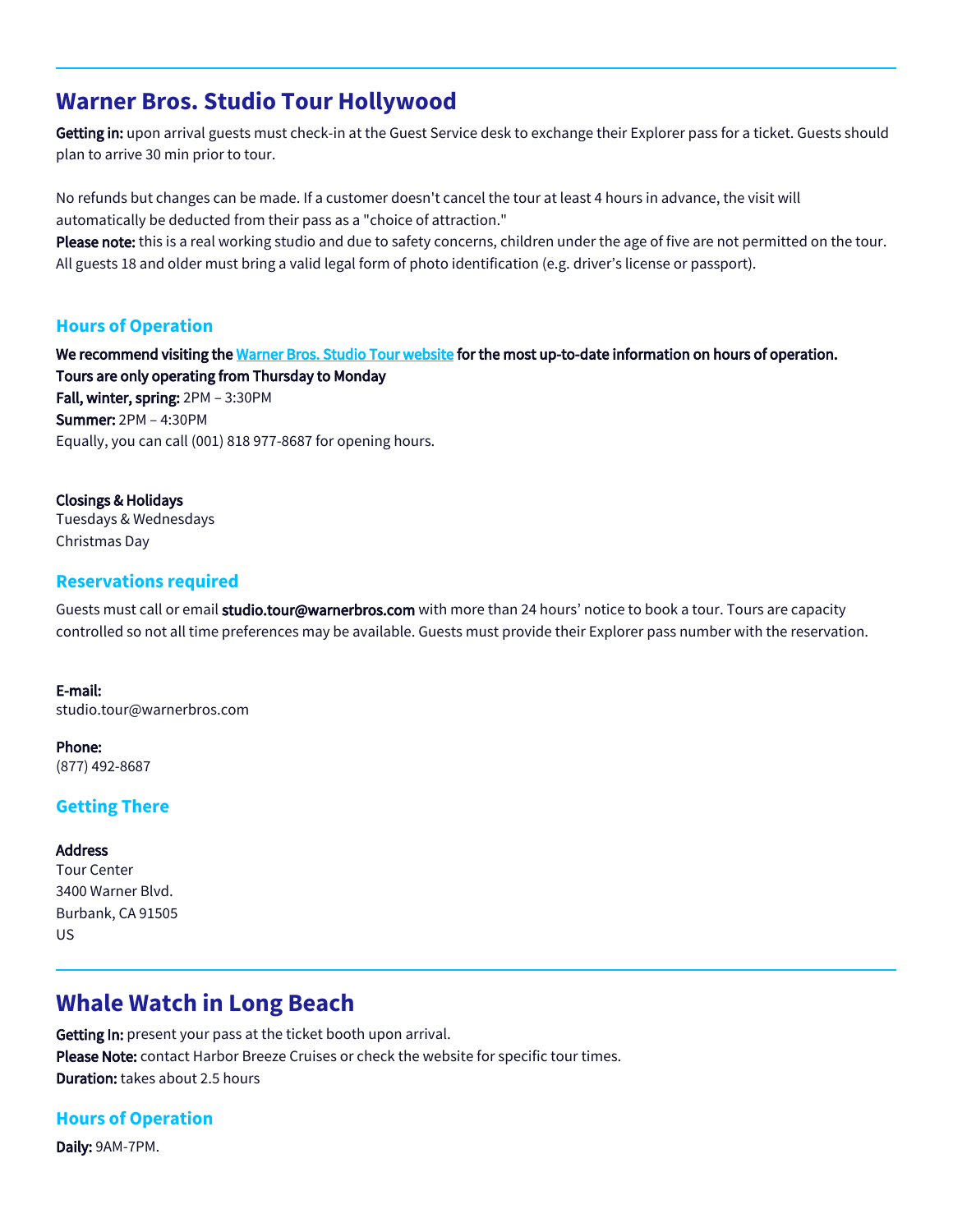# **Warner Bros. Studio Tour Hollywood**

Getting in: upon arrival guests must check-in at the Guest Service desk to exchange their Explorer pass for a ticket. Guests should plan to arrive 30 min prior to tour.

No refunds but changes can be made. If a customer doesn't cancel the tour at least 4 hours in advance, the visit will automatically be deducted from their pass as a "choice of attraction."

Please note: this is a real working studio and due to safety concerns, children under the age of five are not permitted on the tour. All guests 18 and older must bring a valid legal form of photo identification (e.g. driver's license or passport).

## **Hours of Operation**

We recommend visiting the [Warner Bros. Studio Tour website](https://www.wbstudiotour.com/hours-and-directions) for the most up-to-date information on hours of operation. Tours are only operating from Thursday to Monday Fall, winter, spring: 2PM – 3:30PM Summer: 2PM – 4:30PM Equally, you can call (001) 818 977-8687 for opening hours.

#### Closings & Holidays

Tuesdays & Wednesdays Christmas Day

## **Reservations required**

Guests must call or email studio.tour@warnerbros.com with more than 24 hours' notice to book a tour. Tours are capacity controlled so not all time preferences may be available. Guests must provide their Explorer pass number with the reservation.

#### E-mail:

studio.tour@warnerbros.com

Phone: (877) 492-8687

## **Getting There**

#### **Address**

Tour Center 3400 Warner Blvd. Burbank, CA 91505 US

# **Whale Watch in Long Beach**

Getting In: present your pass at the ticket booth upon arrival. Please Note: contact Harbor Breeze Cruises or check the website for specific tour times. Duration: takes about 2.5 hours

**Hours of Operation**

Daily: 9AM-7PM.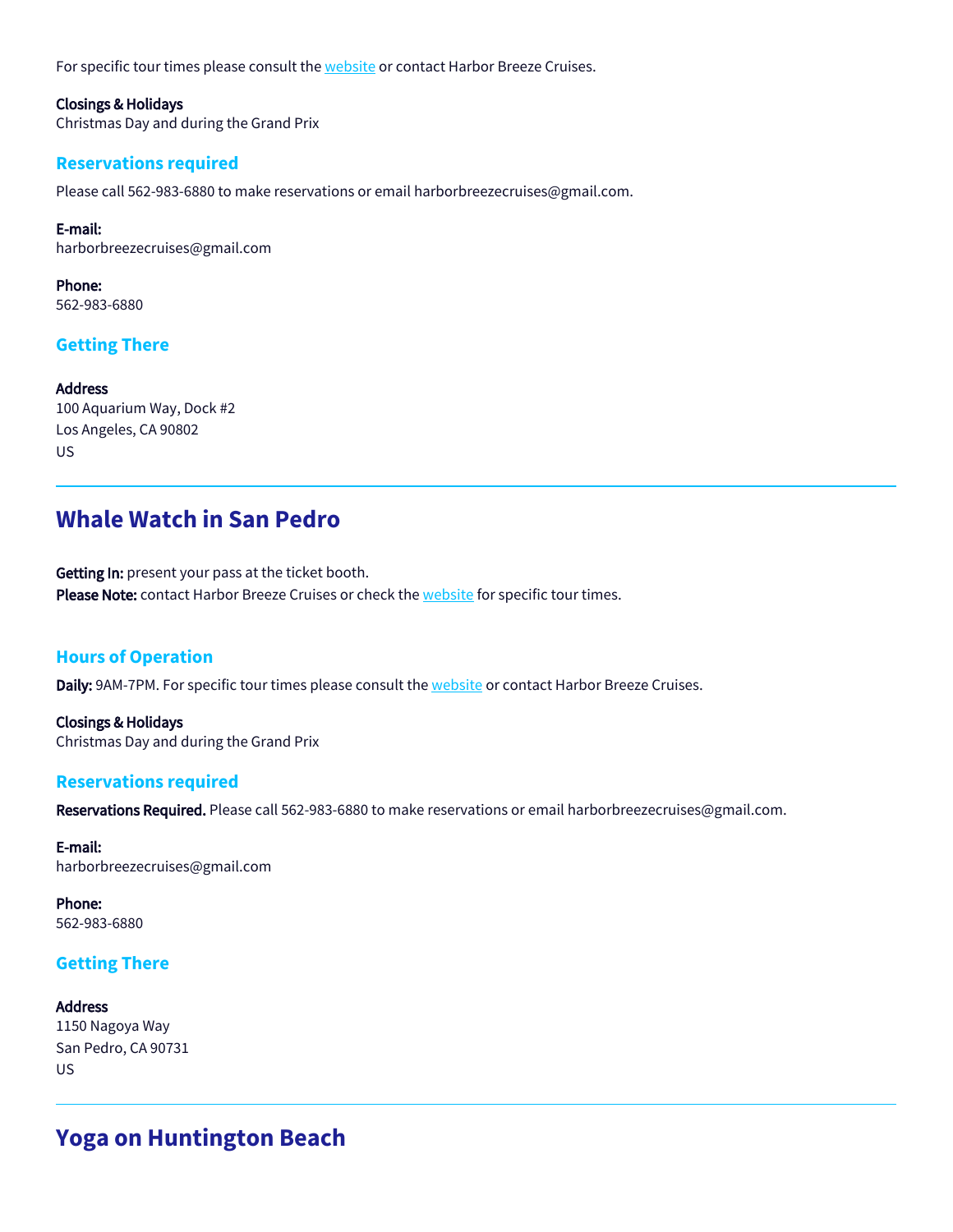For specific tour times please consult the **website** or contact Harbor Breeze Cruises.

Closings & Holidays Christmas Day and during the Grand Prix

#### **Reservations required**

Please call 562-983-6880 to make reservations or email harborbreezecruises@gmail.com.

E-mail: harborbreezecruises@gmail.com

Phone: 562-983-6880

## **Getting There**

Address 100 Aquarium Way, Dock #2 Los Angeles, CA 90802 US

# **Whale Watch in San Pedro**

Getting In: present your pass at the ticket booth. Please Note: contact Harbor Breeze Cruises or check the [website](https://2seewhales.com/) for specific tour times.

#### **Hours of Operation**

Daily: 9AM-7PM. For specific tour times please consult the [website](https://www.longbeachcruises.com/) or contact Harbor Breeze Cruises.

Closings & Holidays Christmas Day and during the Grand Prix

#### **Reservations required**

Reservations Required. Please call 562-983-6880 to make reservations or email harborbreezecruises@gmail.com.

E-mail: harborbreezecruises@gmail.com

Phone: 562-983-6880

#### **Getting There**

#### **Address**

1150 Nagoya Way San Pedro, CA 90731 US

# **Yoga on Huntington Beach**